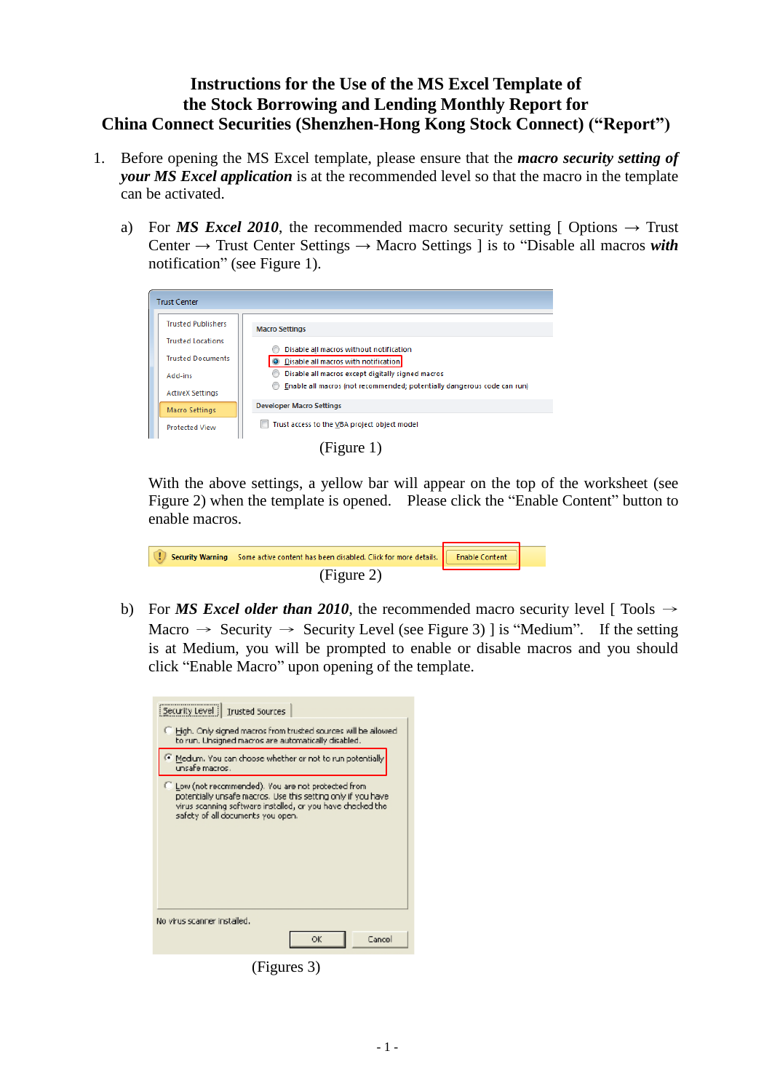## **Instructions for the Use of the MS Excel Template of the Stock Borrowing and Lending Monthly Report for China Connect Securities (Shenzhen-Hong Kong Stock Connect) ("Report")**

- 1. Before opening the MS Excel template, please ensure that the *macro security setting of your MS Excel application* is at the recommended level so that the macro in the template can be activated.
	- a) For *MS Excel 2010*, the recommended macro security setting [ Options  $\rightarrow$  Trust Center → Trust Center Settings → Macro Settings ] is to "Disable all macros *with* notification" (see Figure 1).

| <b>Trust Center</b>       |                                                                         |
|---------------------------|-------------------------------------------------------------------------|
| <b>Trusted Publishers</b> | <b>Macro Settings</b>                                                   |
| <b>Trusted Locations</b>  | Disable all macros without notification                                 |
| <b>Trusted Documents</b>  | O Disable all macros with notification                                  |
| Add-ins                   | Disable all macros except digitally signed macros                       |
| <b>ActiveX Settings</b>   | Enable all macros (not recommended; potentially dangerous code can run) |
| <b>Macro Settings</b>     | <b>Developer Macro Settings</b>                                         |
| <b>Protected View</b>     | Trust access to the VBA project object model                            |
|                           |                                                                         |

(Figure 1)

With the above settings, a yellow bar will appear on the top of the worksheet (see Figure 2) when the template is opened. Please click the "Enable Content" button to enable macros.

| A I T | Security Warning Some active content has been disabled. Click for more details. <b>Example Security</b> Content |  |
|-------|-----------------------------------------------------------------------------------------------------------------|--|
|       | (Figure 2)                                                                                                      |  |

b) For *MS Excel older than 2010*, the recommended macro security level [ Tools  $\rightarrow$ Macro  $\rightarrow$  Security  $\rightarrow$  Security Level (see Figure 3) ] is "Medium". If the setting is at Medium, you will be prompted to enable or disable macros and you should click "Enable Macro" upon opening of the template.

| Security Level   Trusted Sources                                                                                                                                                                                       |
|------------------------------------------------------------------------------------------------------------------------------------------------------------------------------------------------------------------------|
| Figh. Only signed macros from trusted sources will be allowed<br>to run. Unsigned macros are automatically disabled.                                                                                                   |
| Medium. You can choose whether or not to run potentially<br>unsafe macros .                                                                                                                                            |
| C Low (not recommended). You are not protected from<br>potentially unsafe macros. Use this setting only if you have<br>virus scanning software installed, or you have checked the<br>safety of all documents you open. |
| No virus scanner installed.                                                                                                                                                                                            |
| ОK<br>Cancel                                                                                                                                                                                                           |

(Figures 3)